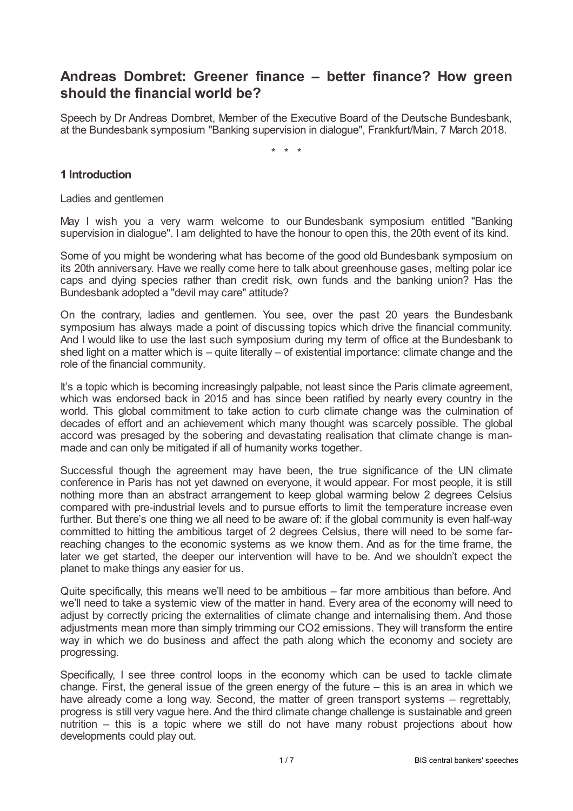# **Andreas Dombret: Greener finance – better finance? How green should the financial world be?**

Speech by Dr Andreas Dombret, Member of the Executive Board of the Deutsche Bundesbank, at the Bundesbank symposium "Banking supervision in dialogue", Frankfurt/Main, 7 March 2018.

\* \* \*

## **1 Introduction**

Ladies and gentlemen

May I wish you a very warm welcome to our Bundesbank symposium entitled "Banking supervision in dialogue". I am delighted to have the honour to open this, the 20th event of its kind.

Some of you might be wondering what has become of the good old Bundesbank symposium on its 20th anniversary. Have we really come here to talk about greenhouse gases, melting polar ice caps and dying species rather than credit risk, own funds and the banking union? Has the Bundesbank adopted a "devil may care" attitude?

On the contrary, ladies and gentlemen. You see, over the past 20 years the Bundesbank symposium has always made a point of discussing topics which drive the financial community. And I would like to use the last such symposium during my term of office at the Bundesbank to shed light on a matter which is – quite literally – of existential importance: climate change and the role of the financial community.

It's a topic which is becoming increasingly palpable, not least since the Paris climate agreement, which was endorsed back in 2015 and has since been ratified by nearly every country in the world. This global commitment to take action to curb climate change was the culmination of decades of effort and an achievement which many thought was scarcely possible. The global accord was presaged by the sobering and devastating realisation that climate change is manmade and can only be mitigated if all of humanity works together.

Successful though the agreement may have been, the true significance of the UN climate conference in Paris has not yet dawned on everyone, it would appear. For most people, it is still nothing more than an abstract arrangement to keep global warming below 2 degrees Celsius compared with pre-industrial levels and to pursue efforts to limit the temperature increase even further. But there's one thing we all need to be aware of: if the global community is even half-way committed to hitting the ambitious target of 2 degrees Celsius, there will need to be some farreaching changes to the economic systems as we know them. And as for the time frame, the later we get started, the deeper our intervention will have to be. And we shouldn't expect the planet to make things any easier for us.

Quite specifically, this means we'll need to be ambitious – far more ambitious than before. And we'll need to take a systemic view of the matter in hand. Every area of the economy will need to adjust by correctly pricing the externalities of climate change and internalising them. And those adjustments mean more than simply trimming our CO2 emissions. They will transform the entire way in which we do business and affect the path along which the economy and society are progressing.

Specifically, I see three control loops in the economy which can be used to tackle climate change. First, the general issue of the green energy of the future – this is an area in which we have already come a long way. Second, the matter of green transport systems – regrettably, progress is still very vague here. And the third climate change challenge is sustainable and green nutrition – this is a topic where we still do not have many robust projections about how developments could play out.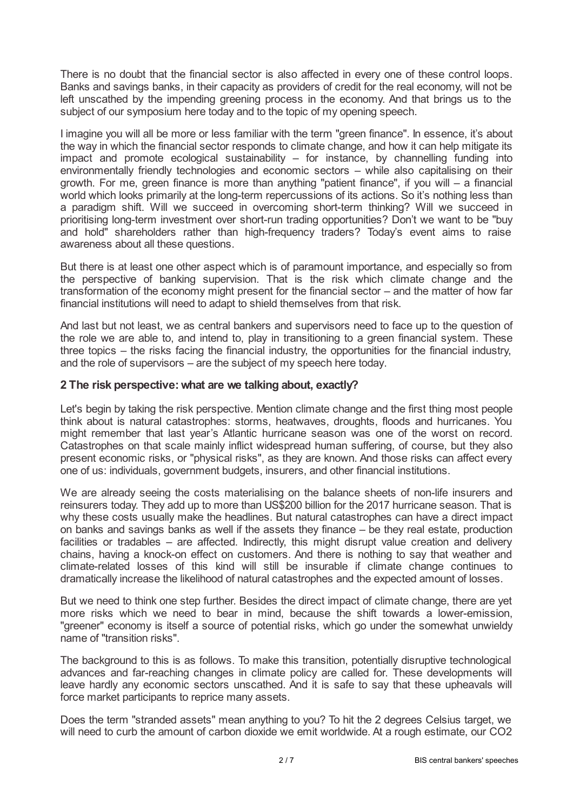There is no doubt that the financial sector is also affected in every one of these control loops. Banks and savings banks, in their capacity as providers of credit for the real economy, will not be left unscathed by the impending greening process in the economy. And that brings us to the subject of our symposium here today and to the topic of my opening speech.

I imagine you will all be more or less familiar with the term "green finance". In essence, it's about the way in which the financial sector responds to climate change, and how it can help mitigate its impact and promote ecological sustainability – for instance, by channelling funding into environmentally friendly technologies and economic sectors – while also capitalising on their growth. For me, green finance is more than anything "patient finance", if you will – a financial world which looks primarily at the long-term repercussions of its actions. So it's nothing less than a paradigm shift. Will we succeed in overcoming short-term thinking? Will we succeed in prioritising long-term investment over short-run trading opportunities? Don't we want to be "buy and hold" shareholders rather than high-frequency traders? Today's event aims to raise awareness about all these questions.

But there is at least one other aspect which is of paramount importance, and especially so from the perspective of banking supervision. That is the risk which climate change and the transformation of the economy might present for the financial sector – and the matter of how far financial institutions will need to adapt to shield themselves from that risk.

And last but not least, we as central bankers and supervisors need to face up to the question of the role we are able to, and intend to, play in transitioning to a green financial system. These three topics – the risks facing the financial industry, the opportunities for the financial industry, and the role of supervisors – are the subject of my speech here today.

## **2 The risk perspective:what are we talking about, exactly?**

Let's begin by taking the risk perspective. Mention climate change and the first thing most people think about is natural catastrophes: storms, heatwaves, droughts, floods and hurricanes. You might remember that last year's Atlantic hurricane season was one of the worst on record. Catastrophes on that scale mainly inflict widespread human suffering, of course, but they also present economic risks, or "physical risks", as they are known. And those risks can affect every one of us: individuals, government budgets, insurers, and other financial institutions.

We are already seeing the costs materialising on the balance sheets of non-life insurers and reinsurers today. They add up to more than US\$200 billion for the 2017 hurricane season. That is why these costs usually make the headlines. But natural catastrophes can have a direct impact on banks and savings banks as well if the assets they finance – be they real estate, production facilities or tradables – are affected. Indirectly, this might disrupt value creation and delivery chains, having a knock-on effect on customers. And there is nothing to say that weather and climate-related losses of this kind will still be insurable if climate change continues to dramatically increase the likelihood of natural catastrophes and the expected amount of losses.

But we need to think one step further. Besides the direct impact of climate change, there are yet more risks which we need to bear in mind, because the shift towards a lower-emission, "greener" economy is itself a source of potential risks, which go under the somewhat unwieldy name of "transition risks".

The background to this is as follows. To make this transition, potentially disruptive technological advances and far-reaching changes in climate policy are called for. These developments will leave hardly any economic sectors unscathed. And it is safe to say that these upheavals will force market participants to reprice many assets.

Does the term "stranded assets" mean anything to you? To hit the 2 degrees Celsius target, we will need to curb the amount of carbon dioxide we emit worldwide. At a rough estimate, our CO2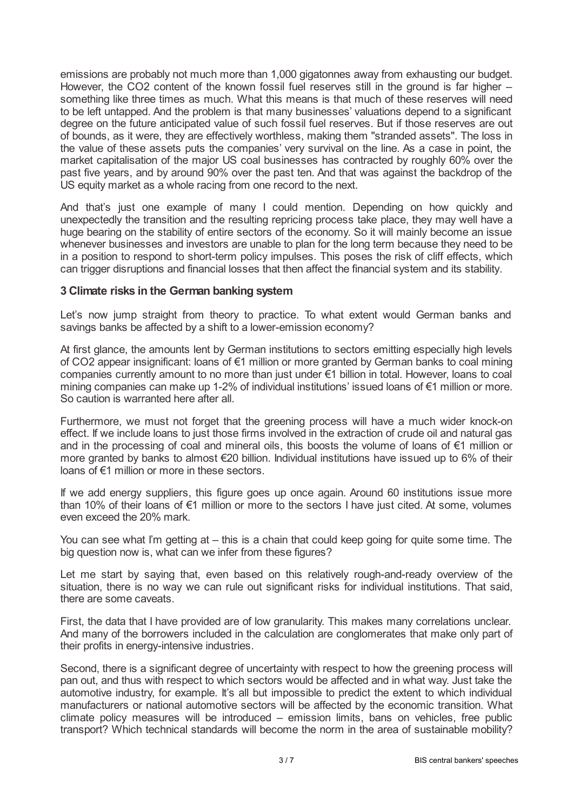emissions are probably not much more than 1,000 gigatonnes away from exhausting our budget. However, the CO2 content of the known fossil fuel reserves still in the ground is far higher – something like three times as much. What this means is that much of these reserves will need to be left untapped. And the problem is that many businesses' valuations depend to a significant degree on the future anticipated value of such fossil fuel reserves. But if those reserves are out of bounds, as it were, they are effectively worthless, making them "stranded assets". The loss in the value of these assets puts the companies' very survival on the line. As a case in point, the market capitalisation of the major US coal businesses has contracted by roughly 60% over the past five years, and by around 90% over the past ten. And that was against the backdrop of the US equity market as a whole racing from one record to the next.

And that's just one example of many I could mention. Depending on how quickly and unexpectedly the transition and the resulting repricing process take place, they may well have a huge bearing on the stability of entire sectors of the economy. So it will mainly become an issue whenever businesses and investors are unable to plan for the long term because they need to be in a position to respond to short-term policy impulses. This poses the risk of cliff effects, which can trigger disruptions and financial losses that then affect the financial system and its stability.

# **3 Climate risks in the German banking system**

Let's now jump straight from theory to practice. To what extent would German banks and savings banks be affected by a shift to a lower-emission economy?

At first glance, the amounts lent by German institutions to sectors emitting especially high levels of CO2 appear insignificant: loans of €1 million or more granted by German banks to coal mining companies currently amount to no more than just under €1 billion in total. However, loans to coal mining companies can make up 1-2% of individual institutions' issued loans of €1 million or more. So caution is warranted here after all.

Furthermore, we must not forget that the greening process will have a much wider knock-on effect. If we include loans to just those firms involved in the extraction of crude oil and natural gas and in the processing of coal and mineral oils, this boosts the volume of loans of €1 million or more granted by banks to almost €20 billion. Individual institutions have issued up to 6% of their loans of €1 million or more in these sectors.

If we add energy suppliers, this figure goes up once again. Around 60 institutions issue more than 10% of their loans of €1 million or more to the sectors I have just cited. At some, volumes even exceed the 20% mark.

You can see what I'm getting at – this is a chain that could keep going for quite some time. The big question now is, what can we infer from these figures?

Let me start by saying that, even based on this relatively rough-and-ready overview of the situation, there is no way we can rule out significant risks for individual institutions. That said, there are some caveats.

First, the data that I have provided are of low granularity. This makes many correlations unclear. And many of the borrowers included in the calculation are conglomerates that make only part of their profits in energy-intensive industries.

Second, there is a significant degree of uncertainty with respect to how the greening process will pan out, and thus with respect to which sectors would be affected and in what way. Just take the automotive industry, for example. It's all but impossible to predict the extent to which individual manufacturers or national automotive sectors will be affected by the economic transition. What climate policy measures will be introduced – emission limits, bans on vehicles, free public transport? Which technical standards will become the norm in the area of sustainable mobility?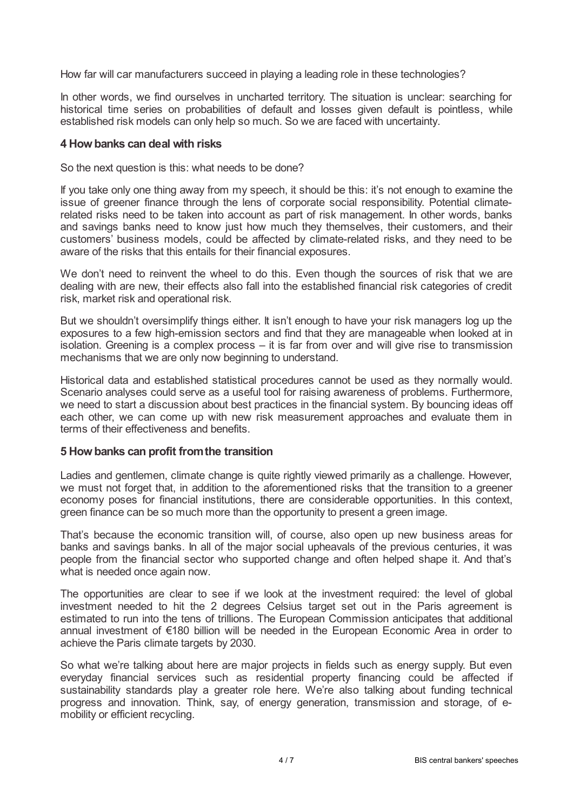How far will car manufacturers succeed in playing a leading role in these technologies?

In other words, we find ourselves in uncharted territory. The situation is unclear: searching for historical time series on probabilities of default and losses given default is pointless, while established risk models can only help so much. So we are faced with uncertainty.

#### **4 Howbanks can deal with risks**

So the next question is this: what needs to be done?

If you take only one thing away from my speech, it should be this: it's not enough to examine the issue of greener finance through the lens of corporate social responsibility. Potential climaterelated risks need to be taken into account as part of risk management. In other words, banks and savings banks need to know just how much they themselves, their customers, and their customers' business models, could be affected by climate-related risks, and they need to be aware of the risks that this entails for their financial exposures.

We don't need to reinvent the wheel to do this. Even though the sources of risk that we are dealing with are new, their effects also fall into the established financial risk categories of credit risk, market risk and operational risk.

But we shouldn't oversimplify things either. It isn't enough to have your risk managers log up the exposures to a few high-emission sectors and find that they are manageable when looked at in isolation. Greening is a complex process – it is far from over and will give rise to transmission mechanisms that we are only now beginning to understand.

Historical data and established statistical procedures cannot be used as they normally would. Scenario analyses could serve as a useful tool for raising awareness of problems. Furthermore, we need to start a discussion about best practices in the financial system. By bouncing ideas off each other, we can come up with new risk measurement approaches and evaluate them in terms of their effectiveness and benefits.

## **5 Howbanks can profit fromthe transition**

Ladies and gentlemen, climate change is quite rightly viewed primarily as a challenge. However, we must not forget that, in addition to the aforementioned risks that the transition to a greener economy poses for financial institutions, there are considerable opportunities. In this context, green finance can be so much more than the opportunity to present a green image.

That's because the economic transition will, of course, also open up new business areas for banks and savings banks. In all of the major social upheavals of the previous centuries, it was people from the financial sector who supported change and often helped shape it. And that's what is needed once again now.

The opportunities are clear to see if we look at the investment required: the level of global investment needed to hit the 2 degrees Celsius target set out in the Paris agreement is estimated to run into the tens of trillions. The European Commission anticipates that additional annual investment of €180 billion will be needed in the European Economic Area in order to achieve the Paris climate targets by 2030.

So what we're talking about here are major projects in fields such as energy supply. But even everyday financial services such as residential property financing could be affected if sustainability standards play a greater role here. We're also talking about funding technical progress and innovation. Think, say, of energy generation, transmission and storage, of emobility or efficient recycling.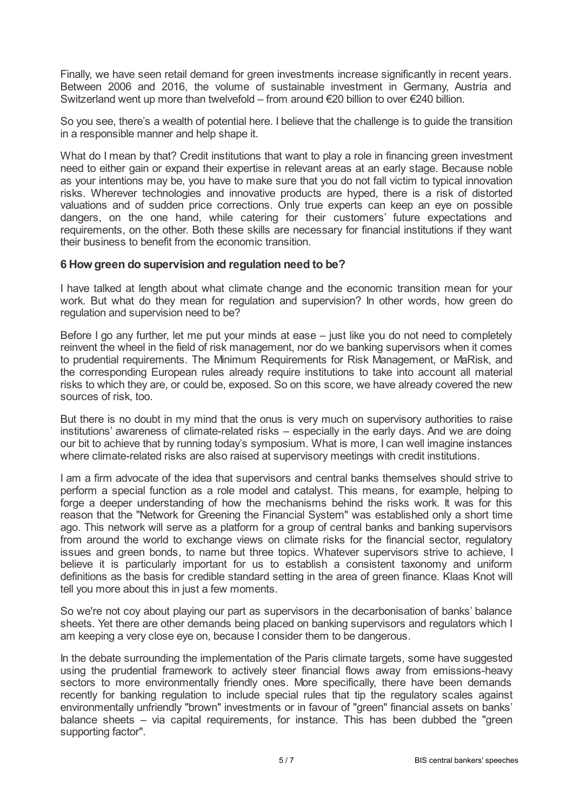Finally, we have seen retail demand for green investments increase significantly in recent years. Between 2006 and 2016, the volume of sustainable investment in Germany, Austria and Switzerland went up more than twelvefold – from around €20 billion to over €240 billion.

So you see, there's a wealth of potential here. I believe that the challenge is to guide the transition in a responsible manner and help shape it.

What do I mean by that? Credit institutions that want to play a role in financing green investment need to either gain or expand their expertise in relevant areas at an early stage. Because noble as your intentions may be, you have to make sure that you do not fall victim to typical innovation risks. Wherever technologies and innovative products are hyped, there is a risk of distorted valuations and of sudden price corrections. Only true experts can keep an eye on possible dangers, on the one hand, while catering for their customers' future expectations and requirements, on the other. Both these skills are necessary for financial institutions if they want their business to benefit from the economic transition.

## **6 Howgreen do supervision and regulation need to be?**

I have talked at length about what climate change and the economic transition mean for your work. But what do they mean for regulation and supervision? In other words, how green do regulation and supervision need to be?

Before I go any further, let me put your minds at ease – just like you do not need to completely reinvent the wheel in the field of risk management, nor do we banking supervisors when it comes to prudential requirements. The Minimum Requirements for Risk Management, or MaRisk, and the corresponding European rules already require institutions to take into account all material risks to which they are, or could be, exposed. So on this score, we have already covered the new sources of risk, too.

But there is no doubt in my mind that the onus is very much on supervisory authorities to raise institutions' awareness of climate-related risks – especially in the early days. And we are doing our bit to achieve that by running today's symposium. What is more, I can well imagine instances where climate-related risks are also raised at supervisory meetings with credit institutions.

I am a firm advocate of the idea that supervisors and central banks themselves should strive to perform a special function as a role model and catalyst. This means, for example, helping to forge a deeper understanding of how the mechanisms behind the risks work. It was for this reason that the "Network for Greening the Financial System" was established only a short time ago. This network will serve as a platform for a group of central banks and banking supervisors from around the world to exchange views on climate risks for the financial sector, regulatory issues and green bonds, to name but three topics. Whatever supervisors strive to achieve, I believe it is particularly important for us to establish a consistent taxonomy and uniform definitions as the basis for credible standard setting in the area of green finance. Klaas Knot will tell you more about this in just a few moments.

So we're not coy about playing our part as supervisors in the decarbonisation of banks' balance sheets. Yet there are other demands being placed on banking supervisors and regulators which I am keeping a very close eye on, because I consider them to be dangerous.

In the debate surrounding the implementation of the Paris climate targets, some have suggested using the prudential framework to actively steer financial flows away from emissions-heavy sectors to more environmentally friendly ones. More specifically, there have been demands recently for banking regulation to include special rules that tip the regulatory scales against environmentally unfriendly "brown" investments or in favour of "green" financial assets on banks' balance sheets – via capital requirements, for instance. This has been dubbed the "green supporting factor".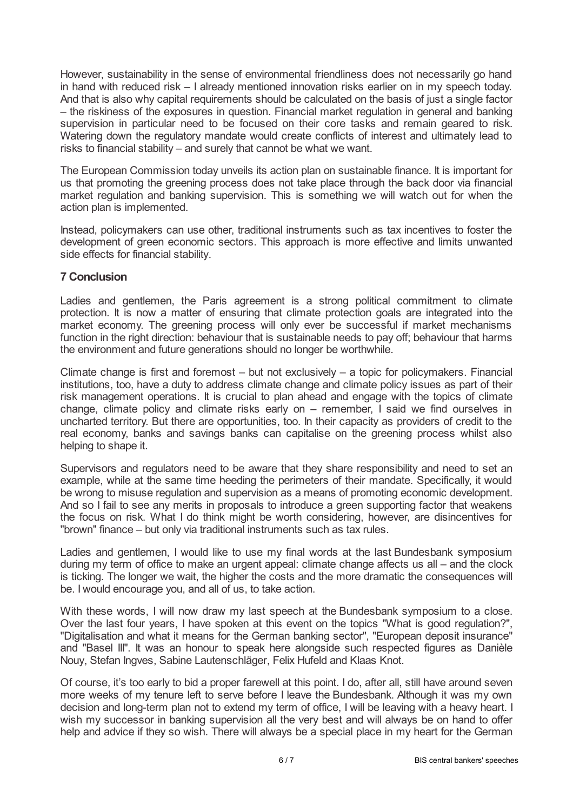However, sustainability in the sense of environmental friendliness does not necessarily go hand in hand with reduced risk – I already mentioned innovation risks earlier on in my speech today. And that is also why capital requirements should be calculated on the basis of just a single factor – the riskiness of the exposures in question. Financial market regulation in general and banking supervision in particular need to be focused on their core tasks and remain geared to risk. Watering down the regulatory mandate would create conflicts of interest and ultimately lead to risks to financial stability – and surely that cannot be what we want.

The European Commission today unveils its action plan on sustainable finance. It is important for us that promoting the greening process does not take place through the back door via financial market regulation and banking supervision. This is something we will watch out for when the action plan is implemented.

Instead, policymakers can use other, traditional instruments such as tax incentives to foster the development of green economic sectors. This approach is more effective and limits unwanted side effects for financial stability.

# **7 Conclusion**

Ladies and gentlemen, the Paris agreement is a strong political commitment to climate protection. It is now a matter of ensuring that climate protection goals are integrated into the market economy. The greening process will only ever be successful if market mechanisms function in the right direction: behaviour that is sustainable needs to pay off; behaviour that harms the environment and future generations should no longer be worthwhile.

Climate change is first and foremost – but not exclusively – a topic for policymakers. Financial institutions, too, have a duty to address climate change and climate policy issues as part of their risk management operations. It is crucial to plan ahead and engage with the topics of climate change, climate policy and climate risks early on – remember, I said we find ourselves in uncharted territory. But there are opportunities, too. In their capacity as providers of credit to the real economy, banks and savings banks can capitalise on the greening process whilst also helping to shape it.

Supervisors and regulators need to be aware that they share responsibility and need to set an example, while at the same time heeding the perimeters of their mandate. Specifically, it would be wrong to misuse regulation and supervision as a means of promoting economic development. And so I fail to see any merits in proposals to introduce a green supporting factor that weakens the focus on risk. What I do think might be worth considering, however, are disincentives for "brown" finance – but only via traditional instruments such as tax rules.

Ladies and gentlemen, I would like to use my final words at the last Bundesbank symposium during my term of office to make an urgent appeal: climate change affects us all – and the clock is ticking. The longer we wait, the higher the costs and the more dramatic the consequences will be. I would encourage you, and all of us, to take action.

With these words, I will now draw my last speech at the Bundesbank symposium to a close. Over the last four years, I have spoken at this event on the topics "What is good regulation?", "Digitalisation and what it means for the German banking sector", "European deposit insurance" and "Basel III". It was an honour to speak here alongside such respected figures as Danièle Nouy, Stefan Ingves, Sabine Lautenschläger, Felix Hufeld and Klaas Knot.

Of course, it's too early to bid a proper farewell at this point. I do, after all, still have around seven more weeks of my tenure left to serve before I leave the Bundesbank. Although it was my own decision and long-term plan not to extend my term of office, I will be leaving with a heavy heart. I wish my successor in banking supervision all the very best and will always be on hand to offer help and advice if they so wish. There will always be a special place in my heart for the German